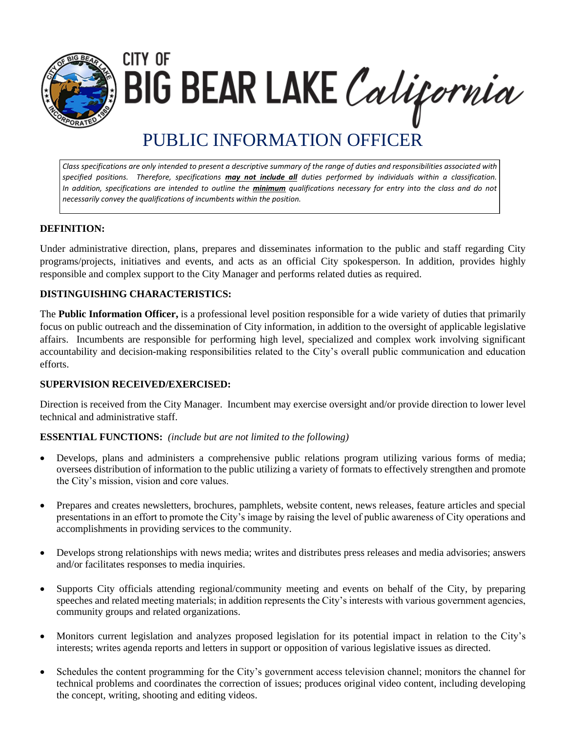

city of BIG BEAR LAKE California

# PUBLIC INFORMATION OFFICER

*Class specifications are only intended to present a descriptive summary of the range of duties and responsibilities associated with specified positions. Therefore, specifications may not include all duties performed by individuals within a classification. In addition, specifications are intended to outline the minimum qualifications necessary for entry into the class and do not necessarily convey the qualifications of incumbents within the position.*

# **DEFINITION:**

Under administrative direction, plans, prepares and disseminates information to the public and staff regarding City programs/projects, initiatives and events, and acts as an official City spokesperson. In addition, provides highly responsible and complex support to the City Manager and performs related duties as required.

## **DISTINGUISHING CHARACTERISTICS:**

The **Public Information Officer,** is a professional level position responsible for a wide variety of duties that primarily focus on public outreach and the dissemination of City information, in addition to the oversight of applicable legislative affairs. Incumbents are responsible for performing high level, specialized and complex work involving significant accountability and decision-making responsibilities related to the City's overall public communication and education efforts.

#### **SUPERVISION RECEIVED/EXERCISED:**

Direction is received from the City Manager. Incumbent may exercise oversight and/or provide direction to lower level technical and administrative staff.

#### **ESSENTIAL FUNCTIONS:** *(include but are not limited to the following)*

- Develops, plans and administers a comprehensive public relations program utilizing various forms of media; oversees distribution of information to the public utilizing a variety of formats to effectively strengthen and promote the City's mission, vision and core values.
- Prepares and creates newsletters, brochures, pamphlets, website content, news releases, feature articles and special presentations in an effort to promote the City's image by raising the level of public awareness of City operations and accomplishments in providing services to the community.
- Develops strong relationships with news media; writes and distributes press releases and media advisories; answers and/or facilitates responses to media inquiries.
- Supports City officials attending regional/community meeting and events on behalf of the City, by preparing speeches and related meeting materials; in addition represents the City's interests with various government agencies, community groups and related organizations.
- Monitors current legislation and analyzes proposed legislation for its potential impact in relation to the City's interests; writes agenda reports and letters in support or opposition of various legislative issues as directed.
- Schedules the content programming for the City's government access television channel; monitors the channel for technical problems and coordinates the correction of issues; produces original video content, including developing the concept, writing, shooting and editing videos.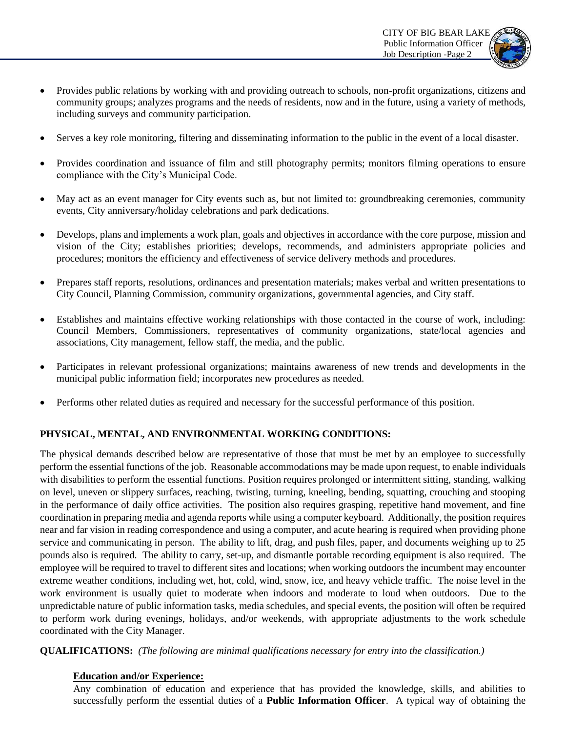

- Provides public relations by working with and providing outreach to schools, non-profit organizations, citizens and community groups; analyzes programs and the needs of residents, now and in the future, using a variety of methods, including surveys and community participation.
- Serves a key role monitoring, filtering and disseminating information to the public in the event of a local disaster.
- Provides coordination and issuance of film and still photography permits; monitors filming operations to ensure compliance with the City's Municipal Code.
- May act as an event manager for City events such as, but not limited to: groundbreaking ceremonies, community events, City anniversary/holiday celebrations and park dedications.
- Develops, plans and implements a work plan, goals and objectives in accordance with the core purpose, mission and vision of the City; establishes priorities; develops, recommends, and administers appropriate policies and procedures; monitors the efficiency and effectiveness of service delivery methods and procedures.
- Prepares staff reports, resolutions, ordinances and presentation materials; makes verbal and written presentations to City Council, Planning Commission, community organizations, governmental agencies, and City staff.
- Establishes and maintains effective working relationships with those contacted in the course of work, including: Council Members, Commissioners, representatives of community organizations, state/local agencies and associations, City management, fellow staff, the media, and the public.
- Participates in relevant professional organizations; maintains awareness of new trends and developments in the municipal public information field; incorporates new procedures as needed.
- Performs other related duties as required and necessary for the successful performance of this position.

# **PHYSICAL, MENTAL, AND ENVIRONMENTAL WORKING CONDITIONS:**

The physical demands described below are representative of those that must be met by an employee to successfully perform the essential functions of the job. Reasonable accommodations may be made upon request, to enable individuals with disabilities to perform the essential functions. Position requires prolonged or intermittent sitting, standing, walking on level, uneven or slippery surfaces, reaching, twisting, turning, kneeling, bending, squatting, crouching and stooping in the performance of daily office activities. The position also requires grasping, repetitive hand movement, and fine coordination in preparing media and agenda reports while using a computer keyboard. Additionally, the position requires near and far vision in reading correspondence and using a computer, and acute hearing is required when providing phone service and communicating in person. The ability to lift, drag, and push files, paper, and documents weighing up to 25 pounds also is required. The ability to carry, set-up, and dismantle portable recording equipment is also required. The employee will be required to travel to different sites and locations; when working outdoors the incumbent may encounter extreme weather conditions, including wet, hot, cold, wind, snow, ice, and heavy vehicle traffic. The noise level in the work environment is usually quiet to moderate when indoors and moderate to loud when outdoors. Due to the unpredictable nature of public information tasks, media schedules, and special events, the position will often be required to perform work during evenings, holidays, and/or weekends, with appropriate adjustments to the work schedule coordinated with the City Manager.

**QUALIFICATIONS:** *(The following are minimal qualifications necessary for entry into the classification.)*

#### **Education and/or Experience:**

Any combination of education and experience that has provided the knowledge, skills, and abilities to successfully perform the essential duties of a **Public Information Officer**. A typical way of obtaining the